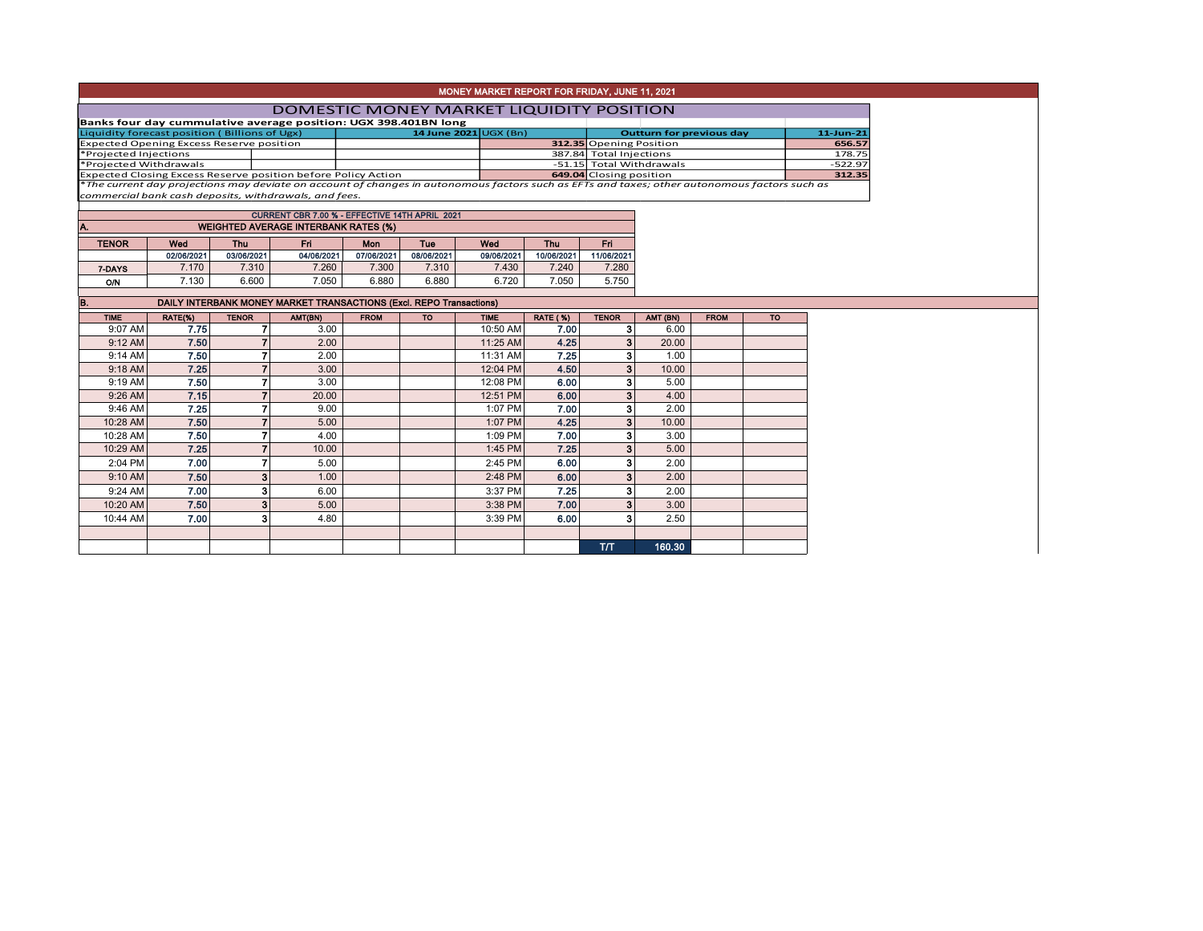| MONEY MARKET REPORT FOR FRIDAY, JUNE 11, 2021 |  |
|-----------------------------------------------|--|
|-----------------------------------------------|--|

## DOMESTIC MONEY MARKET LIQUIDITY POSITION

| Banks four day cummulative average position: UGX 398.401BN long |  |                             |  |                          |              |
|-----------------------------------------------------------------|--|-----------------------------|--|--------------------------|--------------|
| Liquidity forecast position (Billions of Ugx)                   |  | 14 June 2021 $\cup$ GX (Bn) |  | Outturn for previous day | $11$ -Jun-21 |
| <b>Expected Opening Excess Reserve position</b>                 |  |                             |  | 312.35 Opening Position  | 656.57       |
| *Projected Injections                                           |  |                             |  | 387.84 Total Injections  | 178.75       |
| *Proiected Withdrawals                                          |  |                             |  | -51.15 Total Withdrawals | $-522.97$    |
| Expected Closing Excess Reserve position before Policy Action   |  |                             |  | 649.04 Closing position  | 312.35       |
|                                                                 |  |                             |  |                          |              |

Expected Closing Excess Reserve position before Policy Action **1986 (Experiment Constant)** 649.04|Closing position<br>\*The current day projections may deviate on account of changes in autonomous factors such as EFTs and taxes

|              |            |            | CURRENT CBR 7.00 % - EFFECTIVE 14TH APRIL 2021 |            |            |            |            |            |
|--------------|------------|------------|------------------------------------------------|------------|------------|------------|------------|------------|
| Α.           |            |            | <b>WEIGHTED AVERAGE INTERBANK RATES (%)</b>    |            |            |            |            |            |
|              | <b>Tue</b> |            |                                                |            |            |            |            |            |
| <b>TENOR</b> | Wed        | Thu        | Fri                                            | Mon        |            | Wed        | <b>Thu</b> | Fri        |
|              | 02/06/2021 | 03/06/2021 | 04/06/2021                                     | 07/06/2021 | 08/06/2021 | 09/06/2021 | 10/06/2021 | 11/06/2021 |
| 7-DAYS       | 7.170      | 7.310      | 7.260                                          | 7.300      | 7.310      | 7.430      | 7.240      | 7.280      |
| Ο'N          | 7.130      | 6.600      | 7.050                                          | 6.880      | 6.880      | 6.720      | 7.050      | 5.750      |

| B.          | DAILY INTERBANK MONEY MARKET TRANSACTIONS (Excl. REPO Transactions) |                |         |             |           |             |                 |              |          |             |           |  |  |
|-------------|---------------------------------------------------------------------|----------------|---------|-------------|-----------|-------------|-----------------|--------------|----------|-------------|-----------|--|--|
| <b>TIME</b> | RATE(%)                                                             | <b>TENOR</b>   | AMT(BN) | <b>FROM</b> | <b>TO</b> | <b>TIME</b> | <b>RATE (%)</b> | <b>TENOR</b> | AMT (BN) | <b>FROM</b> | <b>TO</b> |  |  |
| 9:07 AM     | 7.75                                                                |                | 3.00    |             |           | 10:50 AM    | 7.00            | 3            | 6.00     |             |           |  |  |
| 9:12 AM     | 7.50                                                                |                | 2.00    |             |           | 11:25 AM    | 4.25            | 3            | 20.00    |             |           |  |  |
| 9:14 AM     | 7.50                                                                |                | 2.00    |             |           | 11:31 AM    | 7.25            | 3            | 1.00     |             |           |  |  |
| 9:18 AM     | 7.25                                                                | 7              | 3.00    |             |           | 12:04 PM    | 4.50            | 3            | 10.00    |             |           |  |  |
| 9:19 AM     | 7.50                                                                |                | 3.00    |             |           | 12:08 PM    | 6.00            | 3            | 5.00     |             |           |  |  |
| 9:26 AM     | 7.15                                                                |                | 20.00   |             |           | 12:51 PM    | 6.00            | 3            | 4.00     |             |           |  |  |
| 9:46 AM     | 7.25                                                                |                | 9.00    |             |           | 1:07 PM     | 7.00            | 3            | 2.00     |             |           |  |  |
| 10:28 AM    | 7.50                                                                |                | 5.00    |             |           | 1:07 PM     | 4.25            | 3            | 10.00    |             |           |  |  |
| 10:28 AM    | 7.50                                                                |                | 4.00    |             |           | 1:09 PM     | 7.00            | 3            | 3.00     |             |           |  |  |
| 10:29 AM    | 7.25                                                                |                | 10.00   |             |           | 1:45 PM     | 7.25            | 3            | 5.00     |             |           |  |  |
| 2:04 PM     | 7.00                                                                |                | 5.00    |             |           | 2:45 PM     | 6.00            | 3            | 2.00     |             |           |  |  |
| 9:10 AM     | 7.50                                                                | 3 <sub>1</sub> | 1.00    |             |           | 2:48 PM     | 6.00            | 3            | 2.00     |             |           |  |  |
| 9:24 AM     | 7.00                                                                | 3              | 6.00    |             |           | 3:37 PM     | 7.25            | 3            | 2.00     |             |           |  |  |
| 10:20 AM    | 7.50                                                                | 3 <sub>1</sub> | 5.00    |             |           | 3:38 PM     | 7.00            | 3            | 3.00     |             |           |  |  |
| 10:44 AM    | 7.00                                                                | з              | 4.80    |             |           | 3:39 PM     | 6.00            | 3            | 2.50     |             |           |  |  |
|             |                                                                     |                |         |             |           |             |                 |              |          |             |           |  |  |
|             |                                                                     |                |         |             |           |             |                 | <b>T/T</b>   | 160.30   |             |           |  |  |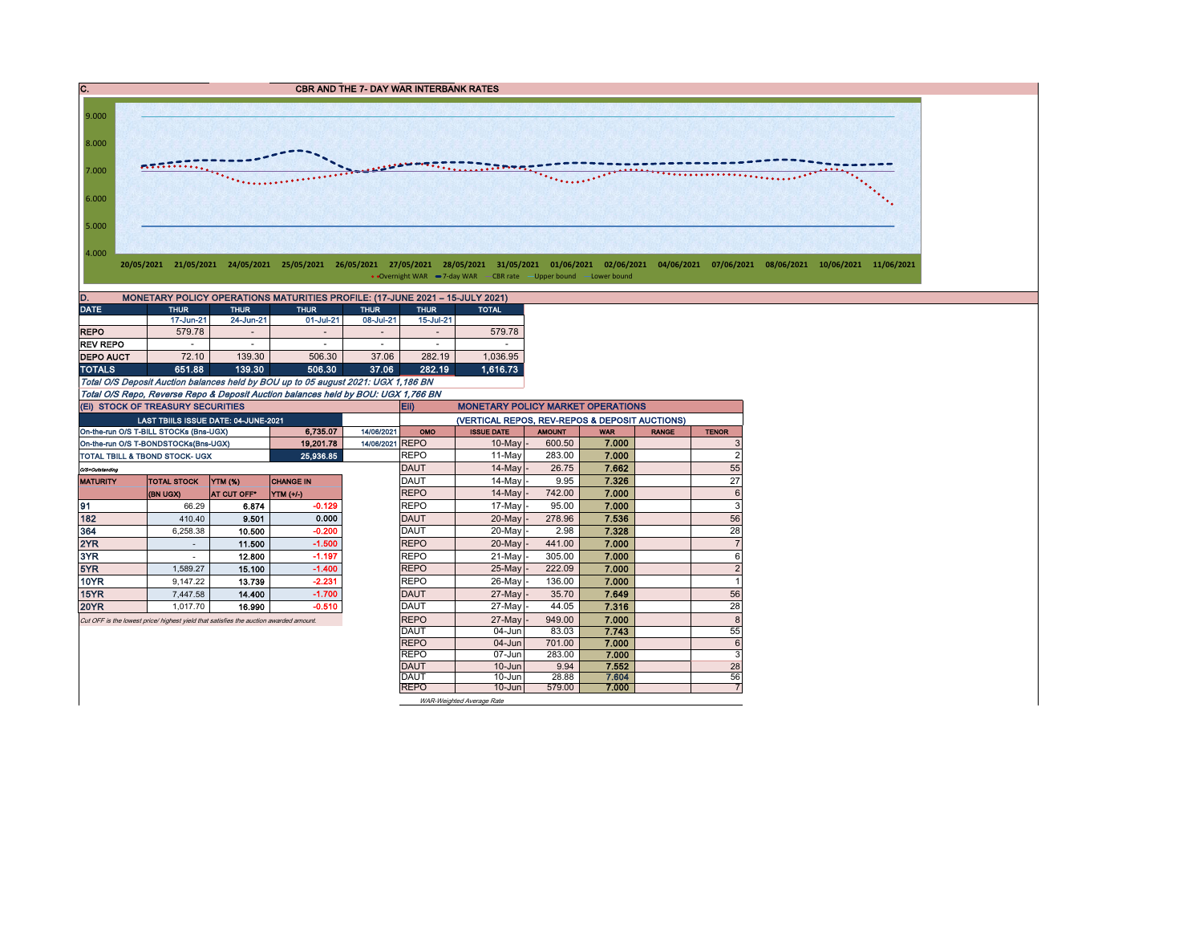C. CBR AND THE 7- DAY WAR INTERBANK RATES



• Overnight WAR -7-day WAR - CBR rate -Upper bound -Lower bound

| MONETARY POLICY OPERATIONS MATURITIES PROFILE: (17-JUNE 2021 - 15-JULY 2021)<br>D. |                          |                            |                                                                                                                                                                                                                                                                                                                                                                                           |             |                |              |  |  |  |  |  |  |
|------------------------------------------------------------------------------------|--------------------------|----------------------------|-------------------------------------------------------------------------------------------------------------------------------------------------------------------------------------------------------------------------------------------------------------------------------------------------------------------------------------------------------------------------------------------|-------------|----------------|--------------|--|--|--|--|--|--|
| <b>DATE</b>                                                                        | <b>THUR</b>              | <b>THUR</b><br><b>THUR</b> |                                                                                                                                                                                                                                                                                                                                                                                           | <b>THUR</b> | <b>THUR</b>    | <b>TOTAL</b> |  |  |  |  |  |  |
|                                                                                    | 17-Jun-21                | 24-Jun-21                  | 01-Jul-21                                                                                                                                                                                                                                                                                                                                                                                 | 08-Jul-21   | 15-Jul-21      |              |  |  |  |  |  |  |
| <b>REPO</b>                                                                        | 579.78                   | $\overline{\phantom{a}}$   | $\overline{\phantom{a}}$                                                                                                                                                                                                                                                                                                                                                                  | -           | $\overline{ }$ | 579.78       |  |  |  |  |  |  |
| <b>REV REPO</b>                                                                    | $\overline{\phantom{a}}$ | -                          | $\overline{\phantom{a}}$                                                                                                                                                                                                                                                                                                                                                                  | ۰           |                |              |  |  |  |  |  |  |
| <b>DEPO AUCT</b>                                                                   | 72.10                    | 139.30                     | 506.30                                                                                                                                                                                                                                                                                                                                                                                    | 37.06       | 282.19         | 1,036.95     |  |  |  |  |  |  |
| <b>TOTALS</b>                                                                      | 651.88                   | 139.30                     | 506.30                                                                                                                                                                                                                                                                                                                                                                                    | 37.06       | 282.19         | 1.616.73     |  |  |  |  |  |  |
|                                                                                    |                          |                            | $\mathcal{L}_{\mathcal{L}}$ and $\mathcal{L}_{\mathcal{L}}$ and $\mathcal{L}_{\mathcal{L}}$ and $\mathcal{L}_{\mathcal{L}}$ and $\mathcal{L}_{\mathcal{L}}$ and $\mathcal{L}_{\mathcal{L}}$ and $\mathcal{L}_{\mathcal{L}}$ and $\mathcal{L}_{\mathcal{L}}$ and $\mathcal{L}_{\mathcal{L}}$ and $\mathcal{L}_{\mathcal{L}}$ and $\mathcal{L}_{\mathcal{L}}$ and $\mathcal{L}_{\mathcal{L$ |             |                |              |  |  |  |  |  |  |

Total O/S Deposit Auction balances held by BOU up to 05 august 2021: UGX 1,186 BN Total O/S Repo, Reverse Repo & Deposit Auction balances held by BOU: UGX 1,766 BN

| (EI) STOCK OF TREASURY SECURITIES |                                                                                       |                |                  |                 | Eii)<br><b>MONETARY POLICY MARKET OPERATIONS</b> |                                                |               |            |              |                 |  |  |  |  |
|-----------------------------------|---------------------------------------------------------------------------------------|----------------|------------------|-----------------|--------------------------------------------------|------------------------------------------------|---------------|------------|--------------|-----------------|--|--|--|--|
|                                   | LAST TBIILS ISSUE DATE: 04-JUNE-2021                                                  |                |                  |                 |                                                  | (VERTICAL REPOS, REV-REPOS & DEPOSIT AUCTIONS) |               |            |              |                 |  |  |  |  |
|                                   | On-the-run O/S T-BILL STOCKs (Bns-UGX)                                                |                | 6.735.07         | 14/06/2021      | OMO                                              | <b>ISSUE DATE</b>                              | <b>AMOUNT</b> | <b>WAR</b> | <b>RANGE</b> | <b>TENOR</b>    |  |  |  |  |
|                                   | On-the-run O/S T-BONDSTOCKs(Bns-UGX)                                                  |                | 19,201.78        | 14/06/2021 REPO |                                                  | $10$ -May                                      | 600.50        | 7.000      |              | 3               |  |  |  |  |
|                                   | <b>TOTAL TBILL &amp; TBOND STOCK- UGX</b>                                             |                | 25,936.85        |                 | <b>REPO</b>                                      | 11-May                                         | 283.00        | 7.000      |              | $\overline{2}$  |  |  |  |  |
| O/S=Outstanding                   |                                                                                       |                |                  |                 | <b>DAUT</b>                                      | 14-May -                                       | 26.75         | 7.662      |              | 55              |  |  |  |  |
| <b>MATURITY</b>                   | <b>TOTAL STOCK</b>                                                                    | <b>YTM (%)</b> | <b>CHANGE IN</b> |                 | <b>DAUT</b>                                      | 14-May -                                       | 9.95          | 7.326      |              | 27              |  |  |  |  |
|                                   | (BN UGX)                                                                              | AT CUT OFF*    | <b>YTM</b> (+/-) |                 | <b>REPO</b>                                      | $14$ -May $-$                                  | 742.00        | 7.000      |              | $6\phantom{1}6$ |  |  |  |  |
| 91                                | 66.29                                                                                 | 6.874          | $-0.129$         |                 | <b>REPO</b>                                      | $17$ -May -                                    | 95.00         | 7.000      |              | 3               |  |  |  |  |
| 182                               | 410.40                                                                                | 9.501          | 0.000            |                 | DAUT                                             | 20-May -                                       | 278.96        | 7.536      |              | 56              |  |  |  |  |
| 364                               | 6.258.38                                                                              | 10.500         | $-0.200$         |                 | <b>DAUT</b>                                      | 20-May -                                       | 2.98          | 7.328      |              | 28              |  |  |  |  |
| 2YR                               |                                                                                       | 11.500         | $-1.500$         |                 | <b>REPO</b>                                      | 20-May                                         | 441.00        | 7.000      |              | $\overline{7}$  |  |  |  |  |
| 3YR                               |                                                                                       | 12.800         | $-1.197$         |                 | <b>REPO</b>                                      | 21-May                                         | 305.00        | 7.000      |              | 6               |  |  |  |  |
| 5YR                               | 1.589.27                                                                              | 15.100         | $-1.400$         |                 | <b>REPO</b>                                      | 25-May                                         | 222.09        | 7.000      |              | $\overline{2}$  |  |  |  |  |
| <b>10YR</b>                       | 9.147.22                                                                              | 13.739         | $-2.231$         |                 | <b>REPO</b>                                      | 26-Mayl                                        | 136.00        | 7.000      |              | 1               |  |  |  |  |
| 15YR                              | 7.447.58                                                                              | 14.400         | $-1.700$         |                 | <b>DAUT</b>                                      | $27$ -May                                      | 35.70         | 7.649      |              | 56              |  |  |  |  |
| <b>20YR</b>                       | 1.017.70                                                                              | 16.990         | $-0.510$         |                 | <b>DAUT</b>                                      | 27-May                                         | 44.05         | 7.316      |              | 28              |  |  |  |  |
|                                   | Cut OFF is the lowest price/ highest yield that satisfies the auction awarded amount. |                |                  |                 | <b>REPO</b>                                      | 27-May                                         | 949.00        | 7.000      |              | 8               |  |  |  |  |
|                                   |                                                                                       |                |                  |                 | <b>DAUT</b>                                      | $04 - Jun$                                     | 83.03         | 7.743      |              | 55              |  |  |  |  |
|                                   |                                                                                       |                |                  |                 | <b>REPO</b>                                      | $04 - Jun$                                     | 701.00        | 7.000      |              | 6               |  |  |  |  |
|                                   |                                                                                       |                |                  |                 | <b>REPO</b>                                      | $07 - Jun$                                     | 283.00        | 7.000      |              | 3               |  |  |  |  |
|                                   |                                                                                       |                |                  |                 | <b>DAUT</b>                                      | $10 - Jun$                                     | 9.94          | 7.552      |              | 28              |  |  |  |  |
|                                   |                                                                                       |                |                  |                 | <b>DAUT</b>                                      | 10-Jun                                         | 28.88         | 7.604      |              | 56              |  |  |  |  |
|                                   |                                                                                       |                |                  |                 | <b>REPO</b>                                      | $10 - Jun$                                     | 579.00        | 7.000      |              | $\overline{7}$  |  |  |  |  |
|                                   |                                                                                       |                |                  |                 |                                                  | WAR-Weighted Average Rate                      |               |            |              |                 |  |  |  |  |